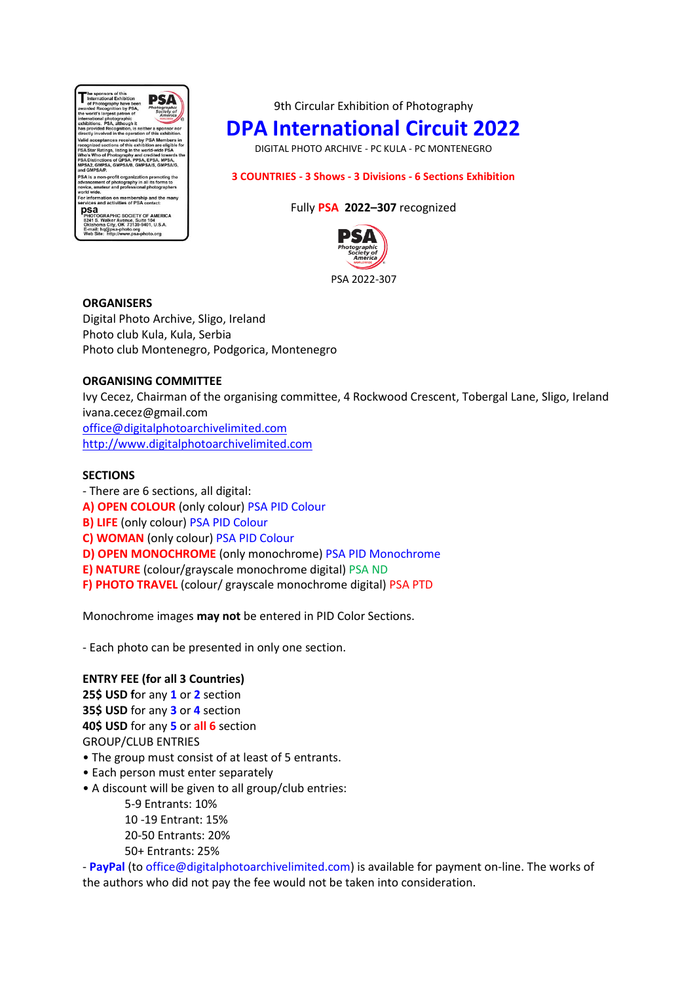

9th Circular Exhibition of Photography

# **DPA International Circuit 2022**

DIGITAL PHOTO ARCHIVE - PC KULA - PC MONTENEGRO

# **3 COUNTRIES - 3 Shows - 3 Divisions - 6 Sections Exhibition**

# Fully **PSA 2022–307** recognized



### **ORGANISERS**

Digital Photo Archive, Sligo, Ireland Photo club Kula, Kula, Serbia Photo club Montenegro, Podgorica, Montenegro

# **ORGANISING COMMITTEE**

Ivy Cecez, Chairman of the organising committee, 4 Rockwood Crescent, Tobergal Lane, Sligo, Ireland [ivana.cecez@gmail.com](mailto:ivana.cecez@gmail.com) [office@digitalphotoarchivelimited.com](mailto:office@digitalphotoarchivelimited.com)  [http://www.digitalphotoarchivelimited.com](http://www.digitalphotoarchivelimited.com/)

# **SECTIONS**

- There are 6 sections, all digital: **A) OPEN COLOUR** (only colour) PSA PID Colour **B) LIFE** (only colour) PSA PID Colour **C) WOMAN** (only colour) PSA PID Colour **D) OPEN MONOCHROME** (only monochrome) PSA PID Monochrome **E) NATURE** (colour/grayscale monochrome digital) PSA ND **F) PHOTO TRAVEL** (colour/ grayscale monochrome digital) PSA PTD

Monochrome images **may not** be entered in PID Color Sections.

- Each photo can be presented in only one section.

# **ENTRY FEE (for all 3 Countries)**

**25\$ USD f**or any **1** or **2** section **35\$ USD** for any **3** or **4** section **40\$ USD** for any **5** or **all 6** section GROUP/CLUB ENTRIES

- The group must consist of at least of 5 entrants.
- Each person must enter separately
- A discount will be given to all group/club entries:
	- 5-9 Entrants: 10%
	- 10 -19 Entrant: 15%
	- 20-50 Entrants: 20%
	- 50+ Entrants: 25%

- **PayPal** (to [office@digitalphotoarchivelimited.com\)](mailto:office@photoclubemerald.com) is available for payment on-line. The works of the authors who did not pay the fee would not be taken into consideration.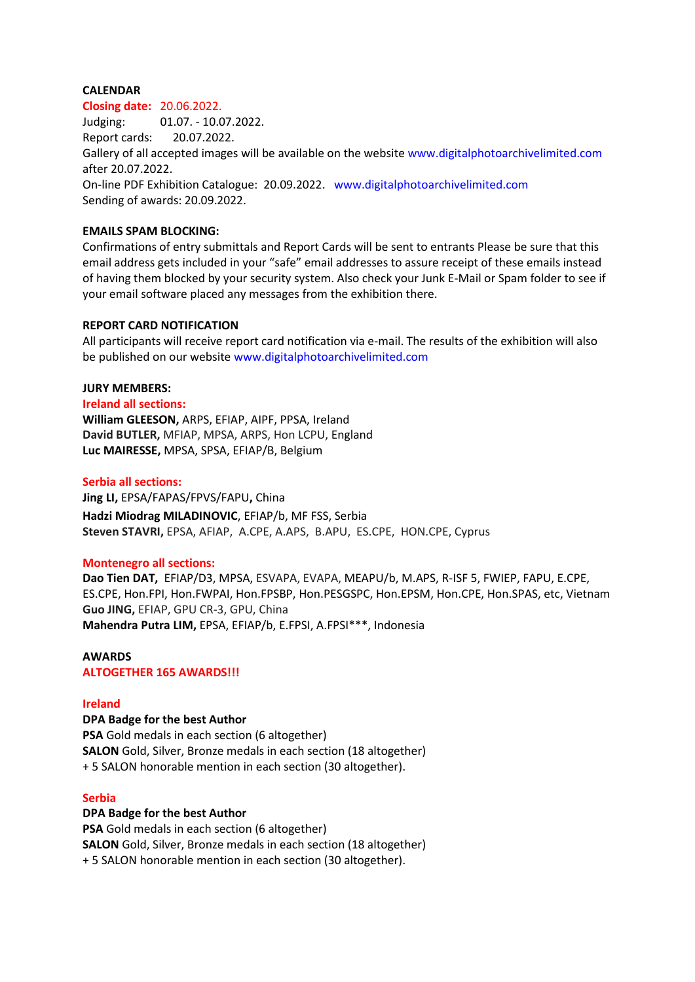## **CALENDAR**

#### **Closing date:** 20.06.2022.

Judging: 01.07. - 10.07.2022. Report cards: 20.07.2022. Gallery of all accepted images will be available on the website www.digitalphotoarchivelimited.com after 20.07.2022. On-line PDF Exhibition Catalogue: 20.09.2022. www.digitalphotoarchivelimited.com Sending of awards: 20.09.2022.

## **EMAILS SPAM BLOCKING:**

Confirmations of entry submittals and Report Cards will be sent to entrants Please be sure that this email address gets included in your "safe" email addresses to assure receipt of these emails instead of having them blocked by your security system. Also check your Junk E-Mail or Spam folder to see if your email software placed any messages from the exhibition there.

# **REPORT CARD NOTIFICATION**

All participants will receive report card notification via e-mail. The results of the exhibition will also be published on our website www.digitalphotoarchivelimited.com

#### **JURY MEMBERS:**

**Ireland all sections: William GLEESON,** ARPS, EFIAP, AIPF, PPSA, Ireland **David BUTLER,** MFIAP, MPSA, ARPS, Hon LCPU, England **Luc MAIRESSE,** MPSA, SPSA, EFIAP/B, Belgium

### **Serbia all sections:**

**Jing LI,** EPSA/FAPAS/FPVS/FAPU**,** China **Hadzi Miodrag MILADINOVIC**, EFIAP/b, MF FSS, Serbia **Steven STAVRI,** EPSA, AFIAP, A.CPE, A.APS, B.APU, ES.CPE, HON.CPE, Cyprus

#### **Montenegro all sections:**

**Dao Tien DAT,** EFIAP/D3, MPSA, ESVAPA, EVAPA, MEAPU/b, M.APS, R-ISF 5, FWIEP, FAPU, E.CPE, ES.CPE, Hon.FPI, Hon.FWPAI, Hon.FPSBP, Hon.PESGSPC, Hon.EPSM, Hon.CPE, Hon.SPAS, etc, Vietnam **Guo JING,** EFIAP, GPU CR-3, GPU, China **Mahendra Putra LIM,** EPSA, EFIAP/b, E.FPSI, A.FPSI\*\*\*, Indonesia

## **AWARDS ALTOGETHER 165 AWARDS!!!**

#### **Ireland**

**DPA Badge for the best Author**

**PSA** Gold medals in each section (6 altogether) **SALON** Gold, Silver, Bronze medals in each section (18 altogether) + 5 SALON honorable mention in each section (30 altogether).

#### **Serbia**

# **DPA Badge for the best Author**

**PSA** Gold medals in each section (6 altogether) **SALON** Gold, Silver, Bronze medals in each section (18 altogether) + 5 SALON honorable mention in each section (30 altogether).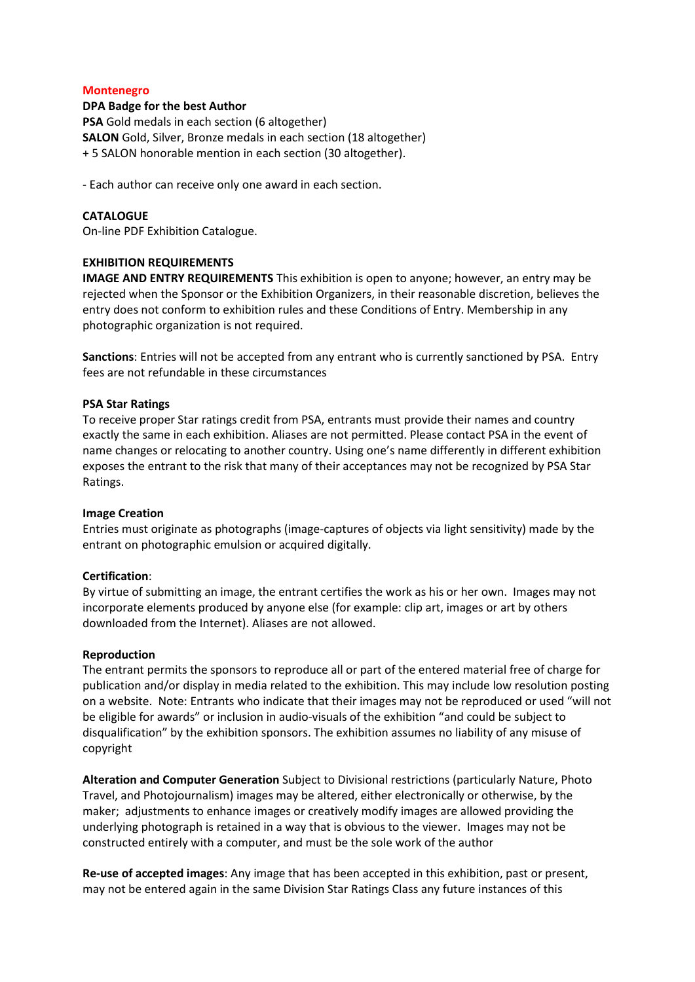### **Montenegro**

### **DPA Badge for the best Author**

**PSA** Gold medals in each section (6 altogether) **SALON** Gold, Silver, Bronze medals in each section (18 altogether) + 5 SALON honorable mention in each section (30 altogether).

- Each author can receive only one award in each section.

## **CATALOGUE**

On-line PDF Exhibition Catalogue.

# **EXHIBITION REQUIREMENTS**

**IMAGE AND ENTRY REQUIREMENTS** This exhibition is open to anyone; however, an entry may be rejected when the Sponsor or the Exhibition Organizers, in their reasonable discretion, believes the entry does not conform to exhibition rules and these Conditions of Entry. Membership in any photographic organization is not required.

**Sanctions**: Entries will not be accepted from any entrant who is currently sanctioned by PSA. Entry fees are not refundable in these circumstances

### **PSA Star Ratings**

To receive proper Star ratings credit from PSA, entrants must provide their names and country exactly the same in each exhibition. Aliases are not permitted. Please contact PSA in the event of name changes or relocating to another country. Using one's name differently in different exhibition exposes the entrant to the risk that many of their acceptances may not be recognized by PSA Star Ratings.

#### **Image Creation**

Entries must originate as photographs (image-captures of objects via light sensitivity) made by the entrant on photographic emulsion or acquired digitally.

#### **Certification**:

By virtue of submitting an image, the entrant certifies the work as his or her own. Images may not incorporate elements produced by anyone else (for example: clip art, images or art by others downloaded from the Internet). Aliases are not allowed.

# **Reproduction**

The entrant permits the sponsors to reproduce all or part of the entered material free of charge for publication and/or display in media related to the exhibition. This may include low resolution posting on a website. Note: Entrants who indicate that their images may not be reproduced or used "will not be eligible for awards" or inclusion in audio-visuals of the exhibition "and could be subject to disqualification" by the exhibition sponsors. The exhibition assumes no liability of any misuse of copyright

**Alteration and Computer Generation** Subject to Divisional restrictions (particularly Nature, Photo Travel, and Photojournalism) images may be altered, either electronically or otherwise, by the maker; adjustments to enhance images or creatively modify images are allowed providing the underlying photograph is retained in a way that is obvious to the viewer. Images may not be constructed entirely with a computer, and must be the sole work of the author

**Re-use of accepted images**: Any image that has been accepted in this exhibition, past or present, may not be entered again in the same Division Star Ratings Class any future instances of this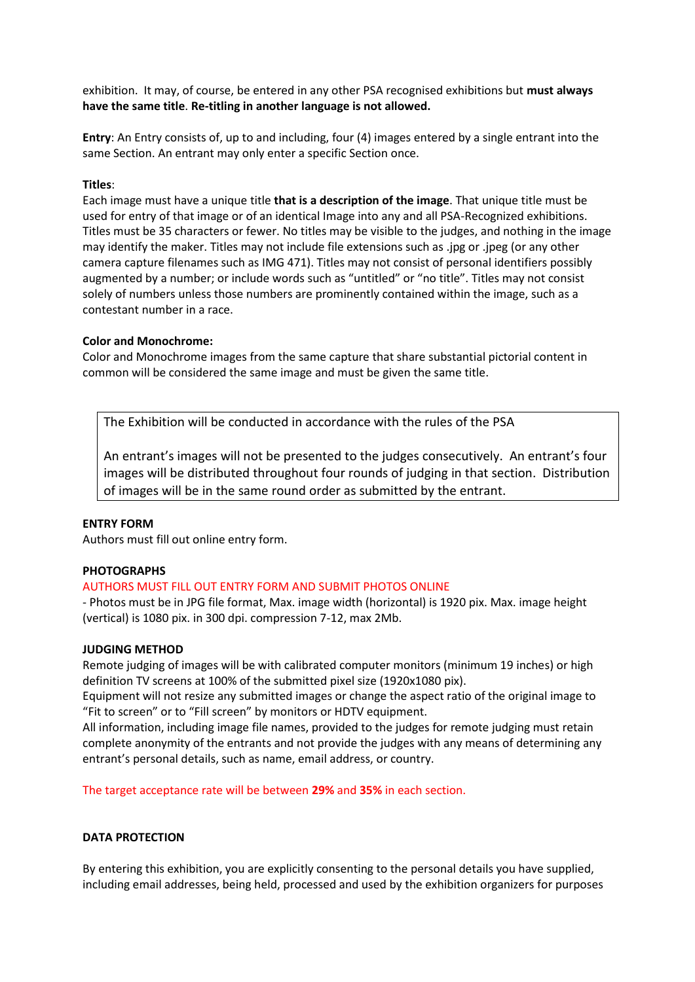exhibition. It may, of course, be entered in any other PSA recognised exhibitions but **must always have the same title**. **Re-titling in another language is not allowed.**

**Entry**: An Entry consists of, up to and including, four (4) images entered by a single entrant into the same Section. An entrant may only enter a specific Section once.

# **Titles**:

Each image must have a unique title **that is a description of the image**. That unique title must be used for entry of that image or of an identical Image into any and all PSA-Recognized exhibitions. Titles must be 35 characters or fewer. No titles may be visible to the judges, and nothing in the image may identify the maker. Titles may not include file extensions such as .jpg or .jpeg (or any other camera capture filenames such as IMG 471). Titles may not consist of personal identifiers possibly augmented by a number; or include words such as "untitled" or "no title". Titles may not consist solely of numbers unless those numbers are prominently contained within the image, such as a contestant number in a race.

# **Color and Monochrome:**

Color and Monochrome images from the same capture that share substantial pictorial content in common will be considered the same image and must be given the same title.

The Exhibition will be conducted in accordance with the rules of the PSA

An entrant's images will not be presented to the judges consecutively. An entrant's four images will be distributed throughout four rounds of judging in that section. Distribution of images will be in the same round order as submitted by the entrant.

# **ENTRY FORM**

Authors must fill out online entry form.

# **PHOTOGRAPHS**

# AUTHORS MUST FILL OUT ENTRY FORM AND SUBMIT PHOTOS ONLINE

- Photos must be in JPG file format, Max. image width (horizontal) is 1920 pix. Max. image height (vertical) is 1080 pix. in 300 dpi. compression 7-12, max 2Mb.

# **JUDGING METHOD**

Remote judging of images will be with calibrated computer monitors (minimum 19 inches) or high definition TV screens at 100% of the submitted pixel size (1920x1080 pix).

Equipment will not resize any submitted images or change the aspect ratio of the original image to "Fit to screen" or to "Fill screen" by monitors or HDTV equipment.

All information, including image file names, provided to the judges for remote judging must retain complete anonymity of the entrants and not provide the judges with any means of determining any entrant's personal details, such as name, email address, or country.

The target acceptance rate will be between **29%** and **35%** in each section.

# **DATA PROTECTION**

By entering this exhibition, you are explicitly consenting to the personal details you have supplied, including email addresses, being held, processed and used by the exhibition organizers for purposes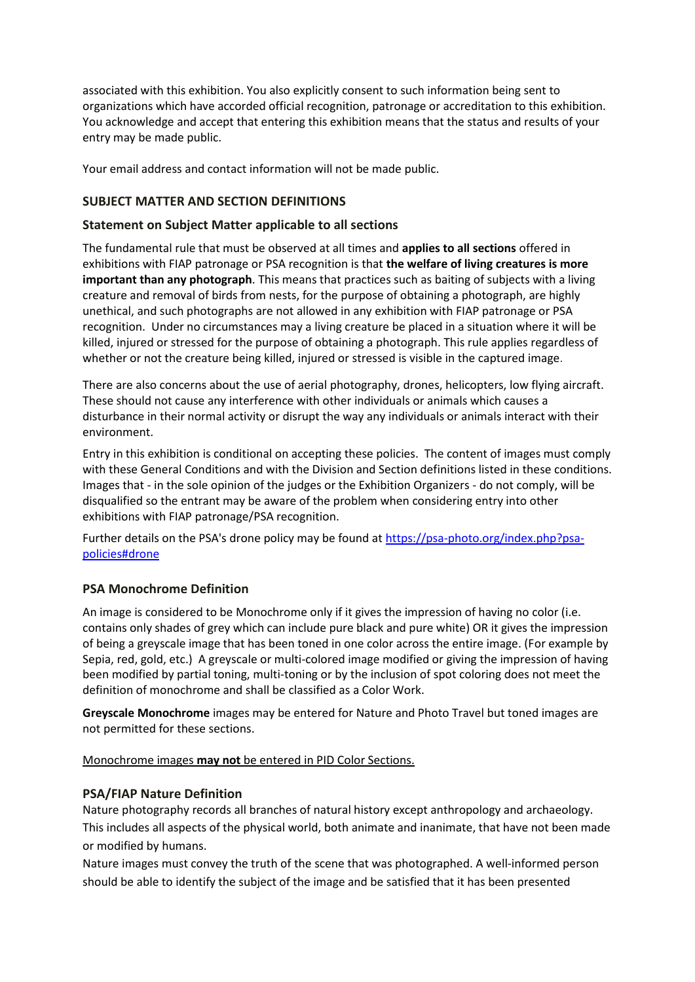associated with this exhibition. You also explicitly consent to such information being sent to organizations which have accorded official recognition, patronage or accreditation to this exhibition. You acknowledge and accept that entering this exhibition means that the status and results of your entry may be made public.

Your email address and contact information will not be made public.

# **SUBJECT MATTER AND SECTION DEFINITIONS**

# **Statement on Subject Matter applicable to all sections**

The fundamental rule that must be observed at all times and **applies to all sections** offered in exhibitions with FIAP patronage or PSA recognition is that **the welfare of living creatures is more important than any photograph**. This means that practices such as baiting of subjects with a living creature and removal of birds from nests, for the purpose of obtaining a photograph, are highly unethical, and such photographs are not allowed in any exhibition with FIAP patronage or PSA recognition. Under no circumstances may a living creature be placed in a situation where it will be killed, injured or stressed for the purpose of obtaining a photograph. This rule applies regardless of whether or not the creature being killed, injured or stressed is visible in the captured image.

There are also concerns about the use of aerial photography, drones, helicopters, low flying aircraft. These should not cause any interference with other individuals or animals which causes a disturbance in their normal activity or disrupt the way any individuals or animals interact with their environment.

Entry in this exhibition is conditional on accepting these policies. The content of images must comply with these General Conditions and with the Division and Section definitions listed in these conditions. Images that - in the sole opinion of the judges or the Exhibition Organizers - do not comply, will be disqualified so the entrant may be aware of the problem when considering entry into other exhibitions with FIAP patronage/PSA recognition.

Further details on the PSA's drone policy may be found at [https://psa-photo.org/index.php?psa](https://psa-photo.org/index.php?psa-policies%23drone)[policies#drone](https://psa-photo.org/index.php?psa-policies%23drone)

# **PSA Monochrome Definition**

An image is considered to be Monochrome only if it gives the impression of having no color (i.e. contains only shades of grey which can include pure black and pure white) OR it gives the impression of being a greyscale image that has been toned in one color across the entire image. (For example by Sepia, red, gold, etc.) A greyscale or multi-colored image modified or giving the impression of having been modified by partial toning, multi-toning or by the inclusion of spot coloring does not meet the definition of monochrome and shall be classified as a Color Work.

**Greyscale Monochrome** images may be entered for Nature and Photo Travel but toned images are not permitted for these sections.

# Monochrome images **may not** be entered in PID Color Sections.

# **PSA/FIAP Nature Definition**

Nature photography records all branches of natural history except anthropology and archaeology. This includes all aspects of the physical world, both animate and inanimate, that have not been made or modified by humans.

Nature images must convey the truth of the scene that was photographed. A well-informed person should be able to identify the subject of the image and be satisfied that it has been presented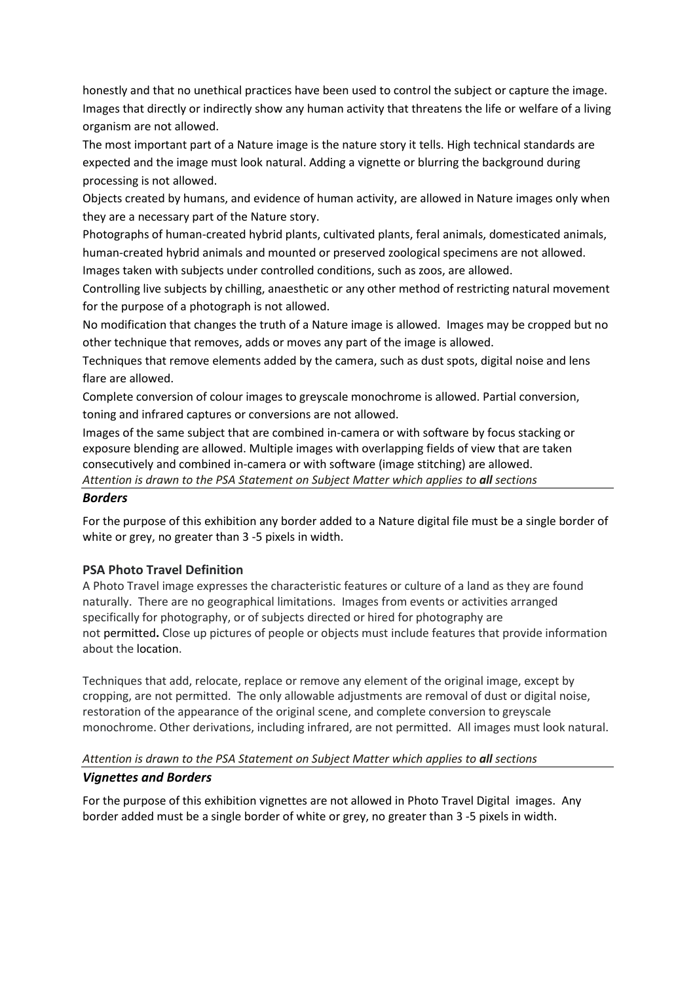honestly and that no unethical practices have been used to control the subject or capture the image. Images that directly or indirectly show any human activity that threatens the life or welfare of a living organism are not allowed.

The most important part of a Nature image is the nature story it tells. High technical standards are expected and the image must look natural. Adding a vignette or blurring the background during processing is not allowed.

Objects created by humans, and evidence of human activity, are allowed in Nature images only when they are a necessary part of the Nature story.

Photographs of human-created hybrid plants, cultivated plants, feral animals, domesticated animals, human-created hybrid animals and mounted or preserved zoological specimens are not allowed. Images taken with subjects under controlled conditions, such as zoos, are allowed.

Controlling live subjects by chilling, anaesthetic or any other method of restricting natural movement for the purpose of a photograph is not allowed.

No modification that changes the truth of a Nature image is allowed. Images may be cropped but no other technique that removes, adds or moves any part of the image is allowed.

Techniques that remove elements added by the camera, such as dust spots, digital noise and lens flare are allowed.

Complete conversion of colour images to greyscale monochrome is allowed. Partial conversion, toning and infrared captures or conversions are not allowed.

Images of the same subject that are combined in-camera or with software by focus stacking or exposure blending are allowed. Multiple images with overlapping fields of view that are taken consecutively and combined in-camera or with software (image stitching) are allowed. *Attention is drawn to the PSA Statement on Subject Matter which applies to all sections*

# *Borders*

For the purpose of this exhibition any border added to a Nature digital file must be a single border of white or grey, no greater than 3 -5 pixels in width.

# **PSA Photo Travel Definition**

A Photo Travel image expresses the characteristic features or culture of a land as they are found naturally. There are no geographical limitations. Images from events or activities arranged specifically for photography, or of subjects directed or hired for photography are not permitted**.** Close up pictures of people or objects must include features that provide information about the location.

Techniques that add, relocate, replace or remove any element of the original image, except by cropping, are not permitted. The only allowable adjustments are removal of dust or digital noise, restoration of the appearance of the original scene, and complete conversion to greyscale monochrome. Other derivations, including infrared, are not permitted. All images must look natural.

# *Attention is drawn to the PSA Statement on Subject Matter which applies to all sections*

# *Vignettes and Borders*

For the purpose of this exhibition vignettes are not allowed in Photo Travel Digital images. Any border added must be a single border of white or grey, no greater than 3 -5 pixels in width.